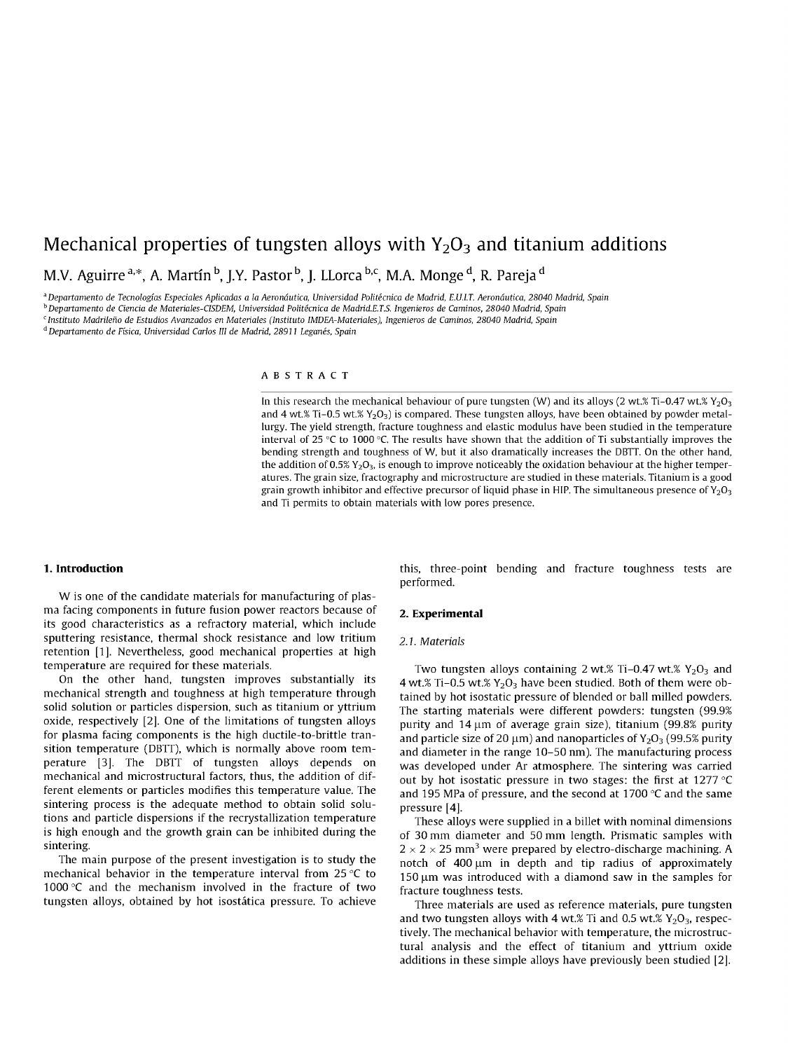# Mechanical properties of tungsten alloys with  $Y_2O_3$  and titanium additions M.V. Aguirre <sup>a,\*</sup>, A. Martín <sup>b</sup>, J.Y. Pastor <sup>b</sup>, J. LLorca <sup>b,c</sup>, M.A. Monge <sup>d</sup>, R. Pareja <sup>d</sup>

<sup>a</sup>*Departamento de Tecnologías Especiales Aplicadas a la Aeronáutica, Universidad Politécnica de Madrid, E.U.LT. Aeronáutica, 28040 Madrid, Spain* 

*b Departamento de Ciencia de Materiales-CISDEM, Universidad Politécnica de Madrid.E.TS. Ingenieros de Caminos, 28040 Madrid, Spain* 

c  *Instituto Madrileño de Estudios Avanzados en Materiales (Instituto IMDEA-Materiales), Ingenieros de Caminos, 28040 Madrid, Spain* 

*d Departamento de Física, Universidad Carlos III de Madrid, 28911 Leganés, Spain* 

#### ABSTRAC T

In this research the mechanical behaviour of pure tungsten (W) and its alloys (2 wt.% Ti-0.47 wt.%  $Y_2O_3$ and 4 wt.% Ti-0.5 wt.%  $Y_2O_3$ ) is compared. These tungsten alloys, have been obtained by powder metallurgy. The yield strength, fracture toughness and elastic modulus have been studied in the temperature interval of 25 °C to 1000 °C. The results have shown that the addition of Ti substantially improves the bending strength and toughness of W, but it also dramatically increases the DBTT. On the other hand, the addition of 0.5%  $Y_2O_3$ , is enough to improve noticeably the oxidation behaviour at the higher temperatures. The grain size, fractography and microstructure are studied in these materials. Titanium is a good grain growth inhibitor and effective precursor of liquid phase in HIP. The simultaneous presence of  $Y_2O_3$ and Ti permits to obtain materials with low pores presence.

# **1. Introduction**

W is one of the candidate materials for manufacturing of plasma facing components in future fusion power reactors because of its good characteristics as a refractory material, which include sputtering resistance, thermal shock resistance and low tritium retention [1]. Nevertheless, good mechanical properties at high temperature are required for these materials.

On the other hand, tungsten improves substantially its mechanical strength and toughness at high temperature through solid solution or particles dispersion, such as titanium or yttrium oxide, respectively [2]. One of the limitations of tungsten alloys for plasma facing components is the high ductile-to-brittle transition temperature (DBTT), which is normally above room temperature [3]. The DBTT of tungsten alloys depends on mechanical and microstructural factors, thus, the addition of different elements or particles modifies this temperature value. The sintering process is the adequate method to obtain solid solutions and particle dispersions if the recrystallization temperature is high enough and the growth grain can be inhibited during the sintering.

The main purpose of the present investigation is to study the mechanical behavior in the temperature interval from 25 °C to 1000 °C and the mechanism involved in the fracture of two tungsten alloys, obtained by hot isostática pressure. To achieve this, three-point bending and fracture toughness tests are performed.

## **2. Experimental**

#### *2A. Materials*

Two tungsten alloys containing 2 wt.% Ti-0.47 wt.%  $Y_2O_3$  and 4 wt.% Ti-0.5 wt.%  $Y_2O_3$  have been studied. Both of them were obtained by hot isostatic pressure of blended or ball milled powders. The starting materials were different powders: tungsten (99.9% purity and  $14 \mu m$  of average grain size), titanium (99.8% purity and particle size of 20  $\mu$ m) and nanoparticles of Y<sub>2</sub>O<sub>3</sub> (99.5% purity and diameter in the range 10-50 nm). The manufacturing process was developed under Ar atmosphere. The sintering was carried out by hot isostatic pressure in two stages: the first at 1277 °C and 195 MPa of pressure, and the second at 1700 °C and the same pressure [4].

These alloys were supplied in a billet with nominal dimensions of 30 mm diameter and 50 mm length. Prismatic samples with  $2 \times 2 \times 25$  mm<sup>3</sup> were prepared by electro-discharge machining. A notch of 400  $\mu$ m in depth and tip radius of approximately 150 um was introduced with a diamond saw in the samples for fracture toughness tests.

Three materials are used as reference materials, pure tungsten and two tungsten alloys with 4 wt.% Ti and 0.5 wt.%  $Y_2O_3$ , respectively. The mechanical behavior with temperature, the microstructural analysis and the effect of titanium and yttrium oxide additions in these simple alloys have previously been studied [2].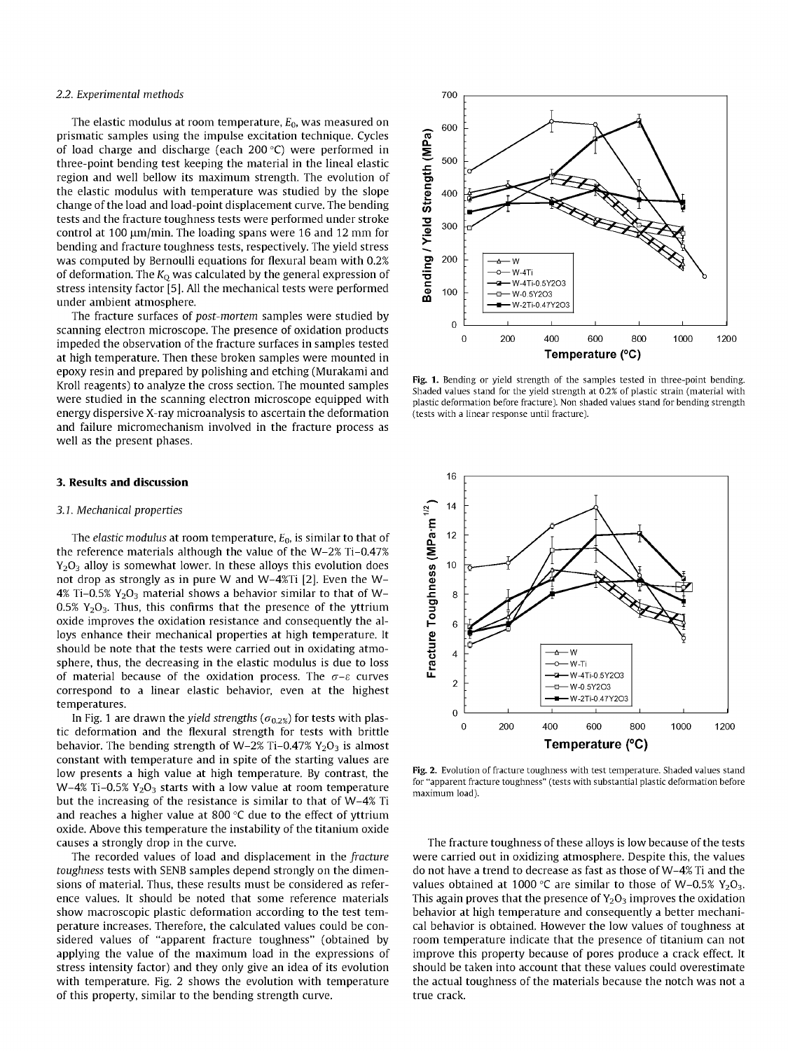#### *2.2. Experimental methods*

The elastic modulus at room temperature, *E0,* was measured on prismatic samples using the impulse excitation technique. Cycles of load charge and discharge (each 200 °C) were performed in three-point bending test keeping the material in the lineal elastic region and well bellow its maximum strength. The evolution of the elastic modulus with temperature was studied by the slope change of the load and load-point displacement curve. The bending tests and the fracture toughness tests were performed under stroke control at 100 um/min. The loading spans were 16 and 12 mm for bending and fracture toughness tests, respectively. The yield stress was computed by Bernoulli equations for flexural beam with 0.2% of deformation. The *KQ* was calculated by the general expression of stress intensity factor [5]. All the mechanical tests were performed under ambient atmosphere.

The fracture surfaces of *post-mortem* samples were studied by scanning electron microscope. The presence of oxidation products impeded the observation of the fracture surfaces in samples tested at high temperature. Then these broken samples were mounted in epoxy resin and prepared by polishing and etching (Murakami and Kroll reagents) to analyze the cross section. The mounted samples were studied in the scanning electron microscope equipped with energy dispersive X-ray microanalysis to ascertain the deformation and failure micromechanism involved in the fracture process as well as the present phases.

# **3. Results and discussion**

#### *3.1. Mechanical properties*

The *elastic modulus* at room temperature, *E0,* is similar to that of the reference materials although the value of the W-2% Ti-0.47%  $Y_2O_3$  alloy is somewhat lower. In these alloys this evolution does not drop as strongly as in pure W and W-4%Ti [2]. Even the W-4% Ti-0.5%  $Y_2O_3$  material shows a behavior similar to that of W-0.5%  $Y_2O_3$ . Thus, this confirms that the presence of the yttrium oxide improves the oxidation resistance and consequently the alloys enhance their mechanical properties at high temperature. It should be note that the tests were carried out in oxidating atmosphere, thus, the decreasing in the elastic modulus is due to loss of material because of the oxidation process. The  $\sigma$ - $\varepsilon$  curves correspond to a linear elastic behavior, even at the highest temperatures.

In Fig. 1 are drawn the *yield strengths* ( $\sigma_{0.2\%}$ ) for tests with plastic deformation and the flexural strength for tests with brittle behavior. The bending strength of W-2% Ti-0.47%  $Y_2O_3$  is almost constant with temperature and in spite of the starting values are low presents a high value at high temperature. By contrast, the W-4% Ti-0.5%  $Y_2O_3$  starts with a low value at room temperature but the increasing of the resistance is similar to that of W-4% Ti and reaches a higher value at 800 °C due to the effect of yttrium oxide. Above this temperature the instability of the titanium oxide causes a strongly drop in the curve.

The recorded values of load and displacement in the *fracture toughness* tests with SENB samples depend strongly on the dimensions of material. Thus, these results must be considered as reference values. It should be noted that some reference materials show macroscopic plastic deformation according to the test temperature increases. Therefore, the calculated values could be considered values of "apparent fracture toughness" (obtained by applying the value of the maximum load in the expressions of stress intensity factor) and they only give an idea of its evolution with temperature. Fig. 2 shows the evolution with temperature of this property, similar to the bending strength curve.



Fig. 1. Bending or yield strength of the samples tested in three-point bending. Shaded values stand for the yield strength at 0.2% of plastic strain (material with plastic deformation before fracture). Non shaded values stand for bending strength (tests with a linear response until fracture).



Fig. 2. Evolution of fracture toughness with test temperature. Shaded values stand for "apparent fracture toughness" (tests with substantial plastic deformation before maximum load).

The fracture toughness of these alloys is low because of the tests were carried out in oxidizing atmosphere. Despite this, the values do not have a trend to decrease as fast as those of W-4% Ti and the values obtained at 1000 °C are similar to those of W-0.5%  $Y_2O_3$ . This again proves that the presence of  $Y_2O_3$  improves the oxidation behavior at high temperature and consequently a better mechanical behavior is obtained. However the low values of toughness at room temperature indicate that the presence of titanium can not improve this property because of pores produce a crack effect. It should be taken into account that these values could overestimate the actual toughness of the materials because the notch was not a true crack.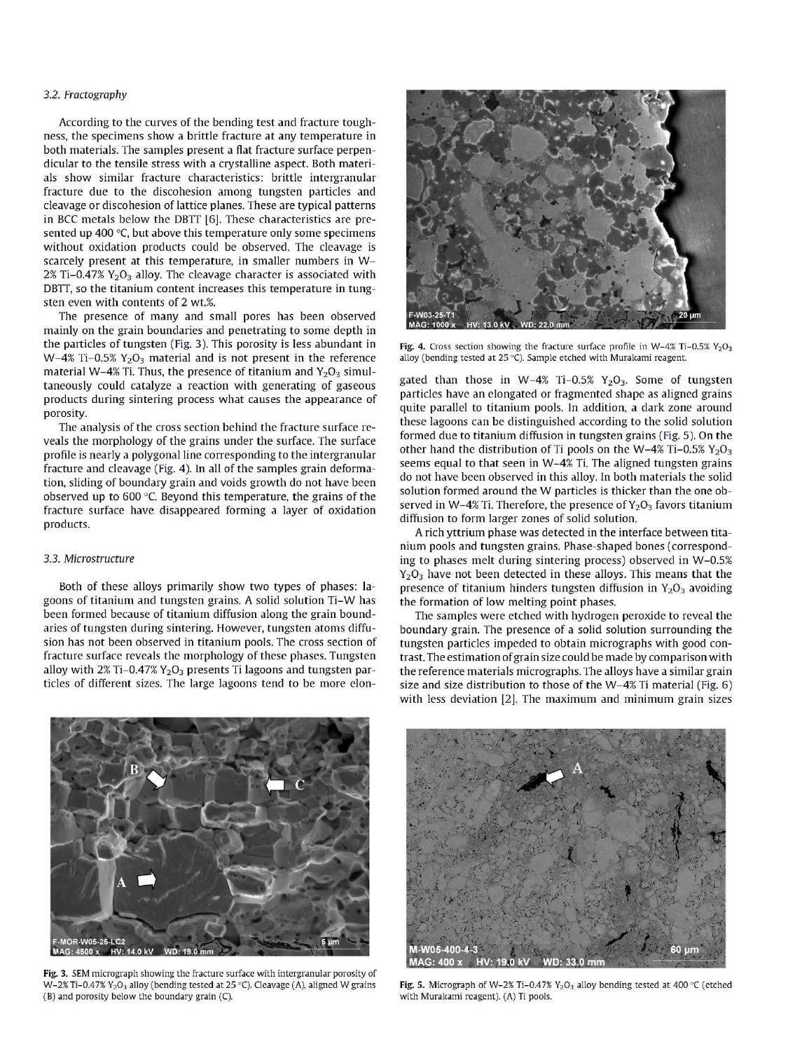## *3.2. Fractography*

According to the curves of the bending test and fracture toughness, the specimens show a brittle fracture at any temperature in both materials. The samples present a flat fracture surface perpendicular to the tensile stress with a crystalline aspect. Both materials show similar fracture characteristics: brittle intergranular fracture due to the discohesion among tungsten particles and cleavage or discohesion of lattice planes. These are typical patterns in BCC metals below the DBTT [6]. These characteristics are presented up 400 °C, but above this temperature only some specimens without oxidation products could be observed. The cleavage is scarcely present at this temperature, in smaller numbers in W- $2\%$  Ti-0.47%  $Y_2O_3$  alloy. The cleavage character is associated with DBTT, so the titanium content increases this temperature in tungsten even with contents of 2 wt.%.

The presence of many and small pores has been observed mainly on the grain boundaries and penetrating to some depth in the particles of tungsten (Fig. 3). This porosity is less abundant in  $W-4\%$  Ti-0.5%  $Y_2O_3$  material and is not present in the reference material W-4% Ti. Thus, the presence of titanium and  $Y_2O_3$  simultaneously could catalyze a reaction with generating of gaseous products during sintering process what causes the appearance of porosity.

The analysis of the cross section behind the fracture surface reveals the morphology of the grains under the surface. The surface profile is nearly a polygonal line corresponding to the intergranular fracture and cleavage (Fig. 4). In all of the samples grain deformation, sliding of boundary grain and voids growth do not have been observed up to 600 °C. Beyond this temperature, the grains of the fracture surface have disappeared forming a layer of oxidation products.

# *3.3. Microstructure*

Both of these alloys primarily show two types of phases: lagoons of titanium and tungsten grains. A solid solution Ti-W has been formed because of titanium diffusion along the grain boundaries of tungsten during sintering. However, tungsten atoms diffusion has not been observed in titanium pools. The cross section of fracture surface reveals the morphology of these phases. Tungsten alloy with  $2\%$  Ti-0.47%  $Y_2O_3$  presents Ti lagoons and tungsten particles of different sizes. The large lagoons tend to be more elon-



Fig. 4. Cross section showing the fracture surface profile in W-4% Ti-0.5%  $Y_2O_3$ alloy (bending tested at 25 °C). Sample etched with Murakami reagent.

gated than those in W-4% Ti-0.5%  $Y_2O_3$ . Some of tungsten particles have an elongated or fragmented shape as aligned grains quite parallel to titanium pools. In addition, a dark zone around these lagoons can be distinguished according to the solid solution formed due to titanium diffusion in tungsten grains (Fig. 5). On the other hand the distribution of Ti pools on the W-4% Ti-0.5%  $Y_2O_3$ seems equal to that seen in W-4% Ti. The aligned tungsten grains do not have been observed in this alloy. In both materials the solid solution formed around the W particles is thicker than the one observed in W-4% Ti. Therefore, the presence of  $Y_2O_3$  favors titanium diffusion to form larger zones of solid solution.

A rich yttrium phase was detected in the interface between titanium pools and tungsten grains. Phase-shaped bones (corresponding to phases melt during sintering process) observed in W-0.5%  $Y_2O_3$  have not been detected in these alloys. This means that the presence of titanium hinders tungsten diffusion in  $Y_2O_3$  avoiding the formation of low melting point phases.

The samples were etched with hydrogen peroxide to reveal the boundary grain. The presence of a solid solution surrounding the tungsten particles impeded to obtain micrographs with good contrast. The estimation of grain size could be made by comparison with the reference materials micrographs. The alloys have a similar grain size and size distribution to those of the W-4% Ti material (Fig. 6) with less deviation [2]. The maximum and minimum grain sizes



Fig. 3. SEM micrograph showing the fracture surface with intergranular porosity of W-2% Ti-0.47% Y<sub>2</sub>O<sub>3</sub> alloy (bending tested at 25 °C). Cleavage (A), aligned W grains (B) and porosity below the boundary grain (C).



Fig. 5. Micrograph of W-2% Ti-0.47%  $Y_2O_3$  alloy bending tested at 400 °C (etched with Murakami reagent). (A) Ti pools.